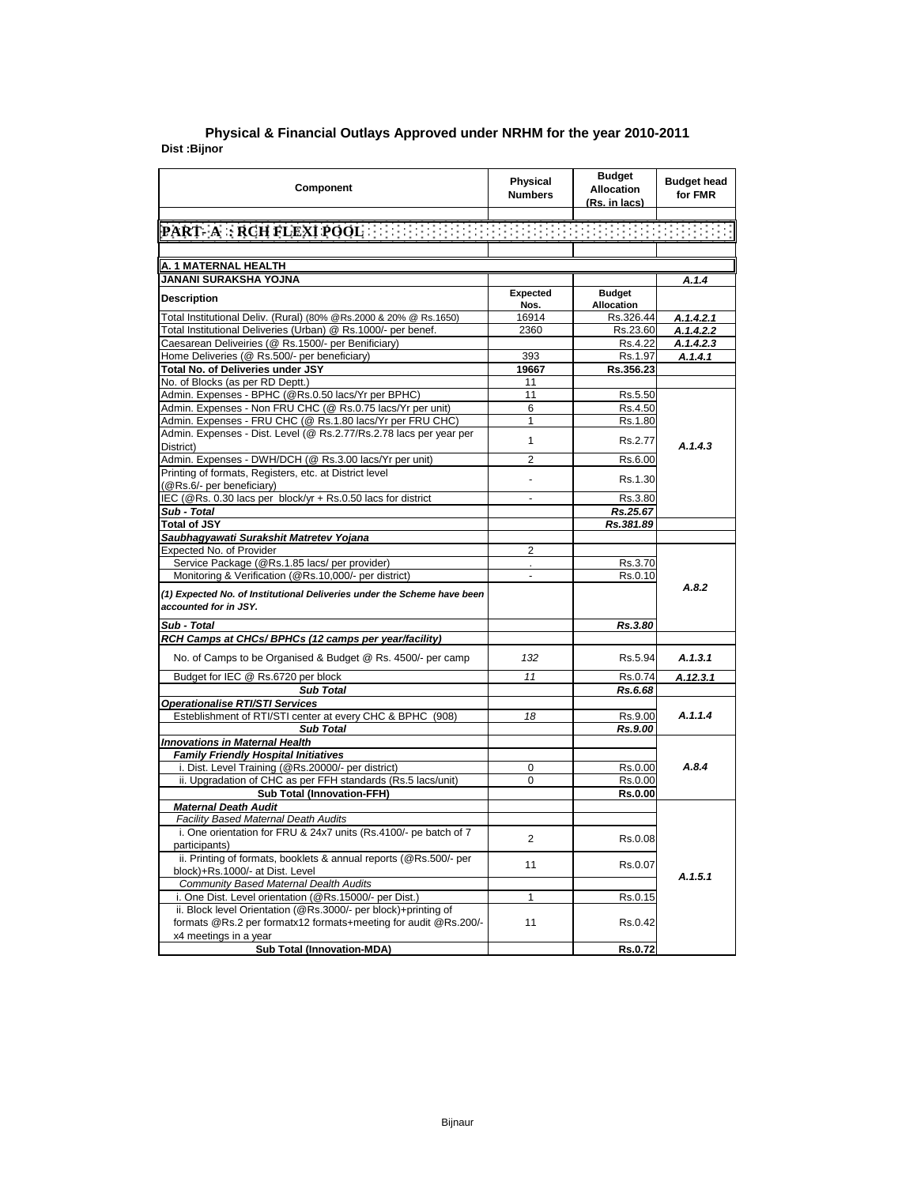| Component                                                                                                                         | Physical<br><b>Numbers</b> | <b>Budget</b><br><b>Allocation</b><br>(Rs. in lacs) | <b>Budget head</b><br>for FMR |
|-----------------------------------------------------------------------------------------------------------------------------------|----------------------------|-----------------------------------------------------|-------------------------------|
|                                                                                                                                   |                            |                                                     |                               |
|                                                                                                                                   |                            |                                                     |                               |
|                                                                                                                                   |                            |                                                     |                               |
| A. 1 MATERNAL HEALTH                                                                                                              |                            |                                                     |                               |
| JANANI SURAKSHA YOJNA                                                                                                             |                            |                                                     | A.1.4                         |
| <b>Description</b>                                                                                                                | Expected                   | <b>Budget</b>                                       |                               |
|                                                                                                                                   | Nos.                       | <b>Allocation</b>                                   |                               |
| Total Institutional Deliv. (Rural) (80% @Rs.2000 & 20% @ Rs.1650)                                                                 | 16914                      | Rs.326.44                                           | A.1.4.2.1                     |
| Total Institutional Deliveries (Urban) @ Rs.1000/- per benef.                                                                     | 2360                       | Rs.23.60                                            | A.1.4.2.2                     |
| Caesarean Deliveiries (@ Rs.1500/- per Benificiary)                                                                               |                            | Rs.4.22                                             | A.1.4.2.3                     |
| Home Deliveries (@ Rs.500/- per beneficiary)                                                                                      | 393                        | Rs.1.97                                             | A.1.4.1                       |
| Total No. of Deliveries under JSY                                                                                                 | 19667                      | Rs.356.23                                           |                               |
| No. of Blocks (as per RD Deptt.)                                                                                                  | 11                         |                                                     |                               |
| Admin. Expenses - BPHC (@Rs.0.50 lacs/Yr per BPHC)                                                                                | 11                         | Rs.5.50                                             |                               |
| Admin. Expenses - Non FRU CHC (@ Rs.0.75 lacs/Yr per unit)<br>Admin. Expenses - FRU CHC (@ Rs.1.80 lacs/Yr per FRU CHC)           | 6<br>1                     | Rs.4.50<br>Rs.1.80                                  |                               |
| Admin. Expenses - Dist. Level (@ Rs.2.77/Rs.2.78 lacs per year per                                                                |                            |                                                     |                               |
| District)                                                                                                                         | 1                          | Rs.2.77                                             | A.1.4.3                       |
| Admin. Expenses - DWH/DCH (@ Rs.3.00 lacs/Yr per unit)                                                                            | $\overline{2}$             | Rs.6.00                                             |                               |
| Printing of formats, Registers, etc. at District level                                                                            |                            |                                                     |                               |
| (@Rs.6/- per beneficiary)                                                                                                         | $\blacksquare$             | Rs.1.30                                             |                               |
| IEC (@Rs. 0.30 lacs per block/yr + Rs.0.50 lacs for district                                                                      |                            | Rs.3.80                                             |                               |
| Sub - Total                                                                                                                       |                            | Rs.25.67                                            |                               |
| <b>Total of JSY</b>                                                                                                               |                            | Rs.381.89                                           |                               |
| Saubhagyawati Surakshit Matretev Yojana                                                                                           |                            |                                                     |                               |
| Expected No. of Provider                                                                                                          | 2                          |                                                     |                               |
| Service Package (@Rs.1.85 lacs/ per provider)                                                                                     | ¥.                         | Rs.3.70                                             |                               |
| Monitoring & Verification (@Rs.10,000/- per district)                                                                             | $\overline{a}$             | Rs.0.10                                             |                               |
| (1) Expected No. of Institutional Deliveries under the Scheme have been<br>accounted for in JSY.                                  |                            |                                                     | A.8.2                         |
| Sub - Total                                                                                                                       |                            | Rs.3.80                                             |                               |
| RCH Camps at CHCs/ BPHCs (12 camps per year/facility)                                                                             |                            |                                                     |                               |
| No. of Camps to be Organised & Budget @ Rs. 4500/- per camp                                                                       | 132                        | Rs.5.94                                             | A.1.3.1                       |
| Budget for IEC @ Rs.6720 per block                                                                                                | 11                         | Rs.0.74                                             | A.12.3.1                      |
| <b>Sub Total</b>                                                                                                                  |                            | Rs.6.68                                             |                               |
| <b>Operationalise RTI/STI Services</b>                                                                                            |                            |                                                     |                               |
| Esteblishment of RTI/STI center at every CHC & BPHC (908)                                                                         | 18                         | Rs.9.00                                             | A.1.1.4                       |
| <b>Sub Total</b>                                                                                                                  |                            | Rs.9.00                                             |                               |
| <b>Innovations in Maternal Health</b>                                                                                             |                            |                                                     |                               |
| <b>Family Friendly Hospital Initiatives</b>                                                                                       |                            |                                                     |                               |
| i. Dist. Level Training (@Rs.20000/- per district)                                                                                | 0                          | Rs.0.00                                             | A.8.4                         |
| ii. Upgradation of CHC as per FFH standards (Rs.5 lacs/unit)                                                                      | 0                          | Rs.0.00                                             |                               |
| <b>Sub Total (Innovation-FFH)</b>                                                                                                 |                            | <b>Rs.0.00</b>                                      |                               |
| <b>Maternal Death Audit</b><br><b>Facility Based Maternal Death Audits</b>                                                        |                            |                                                     |                               |
| i. One orientation for FRU & 24x7 units (Rs.4100/- pe batch of 7                                                                  |                            |                                                     |                               |
| participants)                                                                                                                     | 2                          | Rs.0.08                                             |                               |
| ii. Printing of formats, booklets & annual reports (@Rs.500/- per                                                                 | 11                         | Rs.0.07                                             |                               |
| block)+Rs.1000/- at Dist. Level                                                                                                   |                            |                                                     | A.1.5.1                       |
| <b>Community Based Maternal Dealth Audits</b>                                                                                     |                            |                                                     |                               |
| i. One Dist. Level orientation (@Rs.15000/- per Dist.)                                                                            | 1                          | Rs.0.15                                             |                               |
| ii. Block level Orientation (@Rs.3000/- per block)+printing of<br>formats @Rs.2 per formatx12 formats+meeting for audit @Rs.200/- | 11                         | Rs.0.42                                             |                               |
| x4 meetings in a year                                                                                                             |                            |                                                     |                               |
| Sub Total (Innovation-MDA)                                                                                                        |                            | Rs.0.72                                             |                               |

## **Dist :Bijnor Physical & Financial Outlays Approved under NRHM for the year 2010-2011**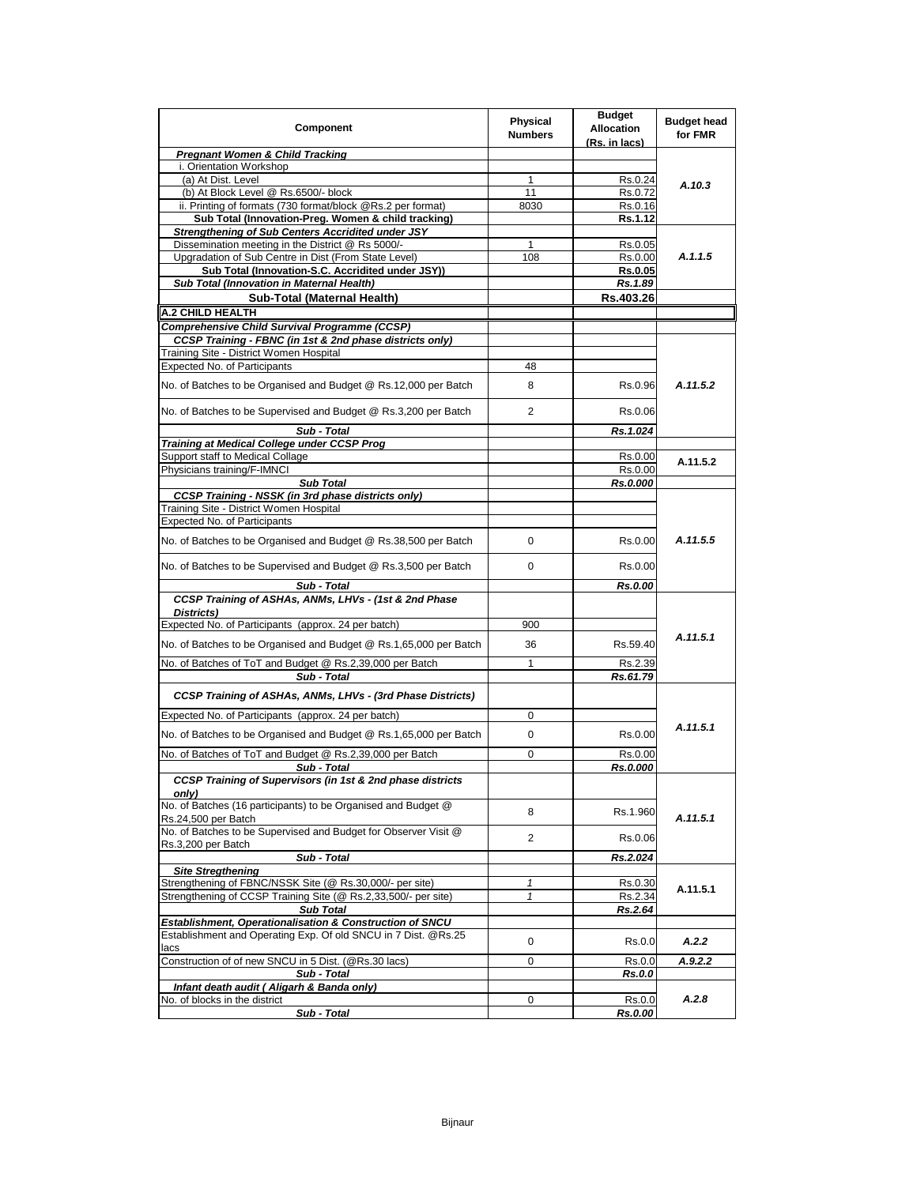| Component                                                                             | <b>Physical</b><br><b>Numbers</b> | <b>Budget</b><br><b>Allocation</b><br>(Rs. in lacs) | <b>Budget head</b><br>for FMR |
|---------------------------------------------------------------------------------------|-----------------------------------|-----------------------------------------------------|-------------------------------|
| <b>Pregnant Women &amp; Child Tracking</b>                                            |                                   |                                                     |                               |
| i. Orientation Workshop                                                               |                                   |                                                     |                               |
| (a) At Dist. Level                                                                    | 1                                 | Rs.0.24                                             | A.10.3                        |
| (b) At Block Level @ Rs.6500/- block                                                  | 11                                | Rs.0.72                                             |                               |
| ii. Printing of formats (730 format/block @Rs.2 per format)                           | 8030                              | Rs.0.16                                             |                               |
| Sub Total (Innovation-Preg. Women & child tracking)                                   |                                   | Rs.1.12                                             |                               |
| <b>Strengthening of Sub Centers Accridited under JSY</b>                              |                                   |                                                     |                               |
| Dissemination meeting in the District @ Rs 5000/-                                     | 1                                 | Rs.0.05                                             |                               |
| Upgradation of Sub Centre in Dist (From State Level)                                  | 108                               | Rs.0.00                                             | A.1.1.5                       |
| Sub Total (Innovation-S.C. Accridited under JSY))                                     |                                   | <b>Rs.0.05</b>                                      |                               |
| Sub Total (Innovation in Maternal Health)                                             |                                   | Rs.1.89                                             |                               |
| Sub-Total (Maternal Health)                                                           |                                   | Rs.403.26                                           |                               |
| A.2 CHILD HEALTH                                                                      |                                   |                                                     |                               |
| Comprehensive Child Survival Programme (CCSP)                                         |                                   |                                                     |                               |
| CCSP Training - FBNC (in 1st & 2nd phase districts only)                              |                                   |                                                     |                               |
| Training Site - District Women Hospital                                               |                                   |                                                     |                               |
| Expected No. of Participants                                                          | 48                                |                                                     |                               |
| No. of Batches to be Organised and Budget @ Rs.12,000 per Batch                       | 8                                 | Rs.0.96                                             | A.11.5.2                      |
| No. of Batches to be Supervised and Budget @ Rs.3,200 per Batch                       | 2                                 | Rs.0.06                                             |                               |
| Sub - Total                                                                           |                                   | Rs.1.024                                            |                               |
| Training at Medical College under CCSP Prog                                           |                                   |                                                     |                               |
| Support staff to Medical Collage                                                      |                                   | Rs.0.00                                             | A.11.5.2                      |
| Physicians training/F-IMNCI                                                           |                                   | Rs.0.00                                             |                               |
| <b>Sub Total</b>                                                                      |                                   | Rs.0.000                                            |                               |
| <b>CCSP Training - NSSK (in 3rd phase districts only)</b>                             |                                   |                                                     |                               |
| Training Site - District Women Hospital                                               |                                   |                                                     |                               |
| Expected No. of Participants                                                          |                                   |                                                     |                               |
| No. of Batches to be Organised and Budget @ Rs.38,500 per Batch                       | 0                                 | Rs.0.00                                             | A.11.5.5                      |
| No. of Batches to be Supervised and Budget @ Rs.3,500 per Batch                       | 0                                 | Rs.0.00                                             |                               |
| Sub - Total                                                                           |                                   | Rs.0.00                                             |                               |
| CCSP Training of ASHAs, ANMs, LHVs - (1st & 2nd Phase                                 |                                   |                                                     |                               |
| Districts)                                                                            |                                   |                                                     |                               |
| Expected No. of Participants (approx. 24 per batch)                                   | 900                               |                                                     |                               |
| No. of Batches to be Organised and Budget @ Rs.1,65,000 per Batch                     | 36                                | Rs.59.40                                            | A.11.5.1                      |
| No. of Batches of ToT and Budget @ Rs.2,39,000 per Batch                              | 1                                 | Rs.2.39                                             |                               |
| Sub - Total                                                                           |                                   | Rs.61.79                                            |                               |
|                                                                                       |                                   |                                                     |                               |
| CCSP Training of ASHAs, ANMs, LHVs - (3rd Phase Districts)                            |                                   |                                                     |                               |
| Expected No. of Participants (approx. 24 per batch)                                   | 0                                 |                                                     |                               |
| No. of Batches to be Organised and Budget @ Rs.1,65,000 per Batch                     | 0                                 | Rs.0.00                                             | A.11.5.1                      |
| No. of Batches of ToT and Budget @ Rs.2,39,000 per Batch                              | 0                                 | Rs.0.00                                             |                               |
| Sub - Total                                                                           |                                   | Rs.0.000                                            |                               |
| <b>CCSP Training of Supervisors (in 1st &amp; 2nd phase districts</b><br>onlv)        |                                   |                                                     |                               |
| No. of Batches (16 participants) to be Organised and Budget @<br>Rs.24,500 per Batch  | 8                                 | Rs.1.960                                            | A.11.5.1                      |
| No. of Batches to be Supervised and Budget for Observer Visit @<br>Rs.3,200 per Batch | $\overline{2}$                    | Rs.0.06                                             |                               |
| Sub - Total                                                                           |                                   | Rs.2.024                                            |                               |
| <b>Site Stregthening</b>                                                              |                                   |                                                     |                               |
| Strengthening of FBNC/NSSK Site (@ Rs.30,000/- per site)                              | 1                                 | Rs.0.30                                             |                               |
| Strengthening of CCSP Training Site (@ Rs.2,33,500/- per site)                        | 1                                 | Rs.2.34                                             | A.11.5.1                      |
| <b>Sub Total</b>                                                                      |                                   | Rs.2.64                                             |                               |
| Establishment, Operationalisation & Construction of SNCU                              |                                   |                                                     |                               |
| Establishment and Operating Exp. Of old SNCU in 7 Dist. @Rs.25<br>lacs                | 0                                 | Rs.0.0                                              | A.2.2                         |
| Construction of of new SNCU in 5 Dist. (@Rs.30 lacs)                                  | 0                                 | Rs.0.0                                              | A.9.2.2                       |
| Sub - Total                                                                           |                                   | Rs.0.0                                              |                               |
| Infant death audit ( Aligarh & Banda only)                                            |                                   |                                                     |                               |
| No. of blocks in the district                                                         | 0                                 | Rs.0.0                                              | A.2.8                         |
| Sub - Total                                                                           |                                   | Rs.0.00                                             |                               |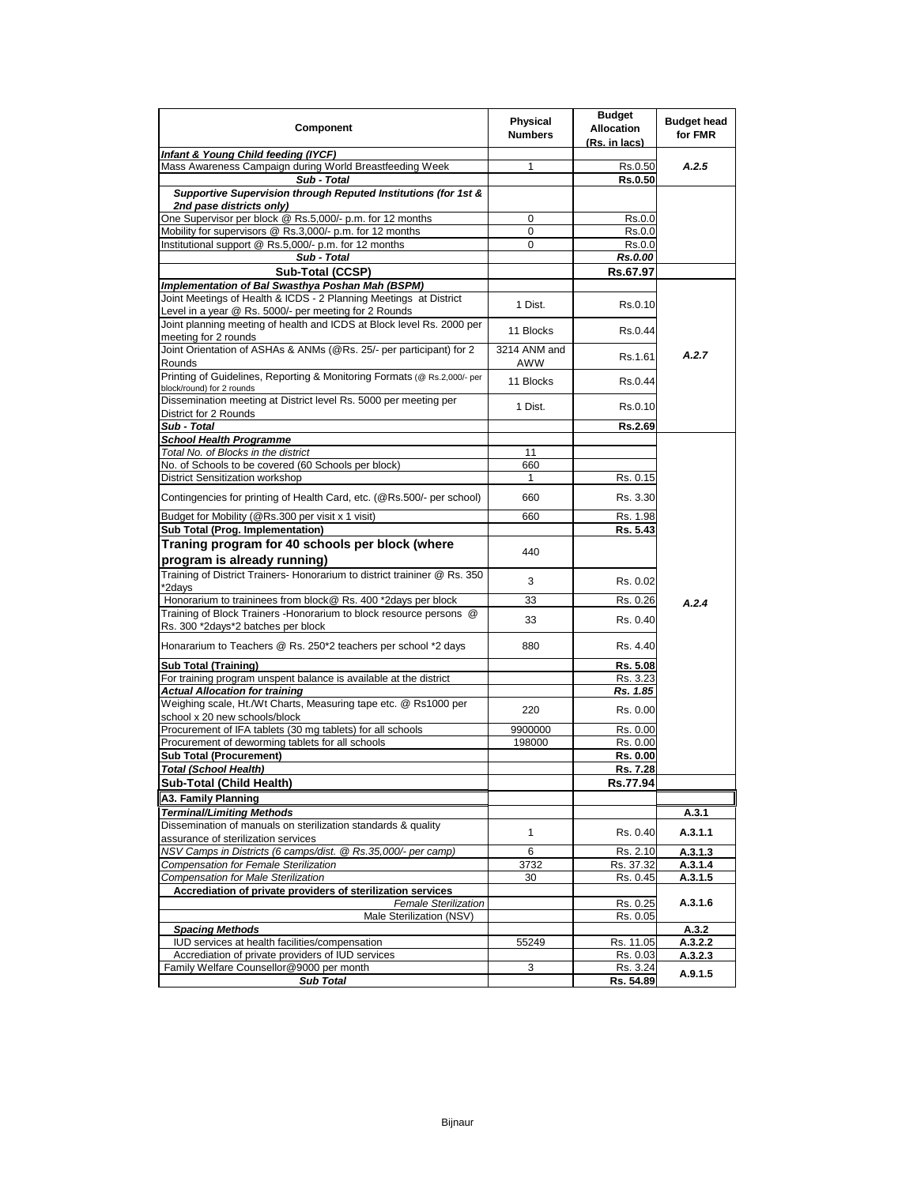| Component                                                                                     | Physical<br><b>Numbers</b> | <b>Budget</b><br><b>Allocation</b><br>(Rs. in lacs) | <b>Budget head</b><br>for FMR |
|-----------------------------------------------------------------------------------------------|----------------------------|-----------------------------------------------------|-------------------------------|
| Infant & Young Child feeding (IYCF)                                                           |                            |                                                     |                               |
| Mass Awareness Campaign during World Breastfeeding Week                                       | 1                          | Rs.0.50                                             | A.2.5                         |
| Sub - Total                                                                                   |                            | <b>Rs.0.50</b>                                      |                               |
| Supportive Supervision through Reputed Institutions (for 1st &                                |                            |                                                     |                               |
| 2nd pase districts only)                                                                      |                            |                                                     |                               |
| One Supervisor per block @ Rs.5,000/- p.m. for 12 months                                      | 0                          | Rs.0.0                                              |                               |
| Mobility for supervisors @ Rs.3,000/- p.m. for 12 months                                      | 0                          | Rs.0.0                                              |                               |
| Institutional support @ Rs.5,000/- p.m. for 12 months                                         | 0                          | Rs.0.0                                              |                               |
| Sub - Total                                                                                   |                            | Rs.0.00                                             |                               |
| Sub-Total (CCSP)                                                                              |                            | Rs.67.97                                            |                               |
| Implementation of Bal Swasthya Poshan Mah (BSPM)                                              |                            |                                                     |                               |
| Joint Meetings of Health & ICDS - 2 Planning Meetings at District                             | 1 Dist.                    | Rs.0.10                                             |                               |
| Level in a year @ Rs. 5000/- per meeting for 2 Rounds                                         |                            |                                                     |                               |
| Joint planning meeting of health and ICDS at Block level Rs. 2000 per                         | 11 Blocks                  | Rs.0.44                                             |                               |
| meeting for 2 rounds                                                                          |                            |                                                     |                               |
| Joint Orientation of ASHAs & ANMs (@Rs. 25/- per participant) for 2<br>Rounds                 | 3214 ANM and<br>AWW        | Rs.1.61                                             | A.2.7                         |
| Printing of Guidelines, Reporting & Monitoring Formats (@ Rs.2,000/- per                      | 11 Blocks                  | Rs.0.44                                             |                               |
| block/round) for 2 rounds<br>Dissemination meeting at District level Rs. 5000 per meeting per |                            |                                                     |                               |
| District for 2 Rounds                                                                         | 1 Dist.                    | Rs.0.10                                             |                               |
| Sub - Total                                                                                   |                            | Rs.2.69                                             |                               |
| <b>School Health Programme</b>                                                                |                            |                                                     |                               |
| Total No. of Blocks in the district                                                           | 11                         |                                                     |                               |
| No. of Schools to be covered (60 Schools per block)                                           | 660                        |                                                     |                               |
| <b>District Sensitization workshop</b>                                                        | $\mathbf{1}$               | Rs. 0.15                                            |                               |
| Contingencies for printing of Health Card, etc. (@Rs.500/- per school)                        | 660                        | Rs. 3.30                                            |                               |
|                                                                                               |                            |                                                     |                               |
| Budget for Mobility (@Rs.300 per visit x 1 visit)                                             | 660                        | Rs. 1.98                                            |                               |
| Sub Total (Prog. Implementation)                                                              |                            | Rs. 5.43                                            |                               |
| Traning program for 40 schools per block (where                                               | 440                        |                                                     |                               |
| program is already running)                                                                   |                            |                                                     |                               |
| Training of District Trainers- Honorarium to district traininer @ Rs. 350<br>*2days           | 3                          | Rs. 0.02                                            |                               |
| Honorarium to traininees from block@ Rs. 400 *2days per block                                 | 33                         | Rs. 0.26                                            | A.2.4                         |
| Training of Block Trainers - Honorarium to block resource persons @                           |                            |                                                     |                               |
| Rs. 300 *2days*2 batches per block                                                            | 33                         | Rs. 0.40                                            |                               |
| Honararium to Teachers @ Rs. 250*2 teachers per school *2 days                                | 880                        | Rs. 4.40                                            |                               |
| <b>Sub Total (Training)</b>                                                                   |                            | Rs. 5.08                                            |                               |
| For training program unspent balance is available at the district                             |                            | Rs. 3.23                                            |                               |
| <b>Actual Allocation for training</b>                                                         |                            | Rs. 1.85                                            |                               |
| Weighing scale, Ht./Wt Charts, Measuring tape etc. @ Rs1000 per                               |                            |                                                     |                               |
| school x 20 new schools/block                                                                 | 220                        | Rs. 0.00                                            |                               |
| Procurement of IFA tablets (30 mg tablets) for all schools                                    | 9900000                    | Rs. 0.00                                            |                               |
| Procurement of deworming tablets for all schools                                              | 198000                     | Rs. 0.00                                            |                               |
| <b>Sub Total (Procurement)</b>                                                                |                            | Rs. 0.00                                            |                               |
| Total (School Health)                                                                         |                            | Rs. 7.28                                            |                               |
| Sub-Total (Child Health)                                                                      |                            | Rs.77.94                                            |                               |
| A3. Family Planning                                                                           |                            |                                                     |                               |
| <b>Terminal/Limiting Methods</b>                                                              |                            |                                                     | A.3.1                         |
| Dissemination of manuals on sterilization standards & quality                                 |                            |                                                     |                               |
| assurance of sterilization services                                                           | $\mathbf{1}$               | Rs. 0.40                                            | A.3.1.1                       |
| NSV Camps in Districts (6 camps/dist. @ Rs.35,000/- per camp)                                 | 6                          | Rs. 2.10                                            | A.3.1.3                       |
| Compensation for Female Sterilization                                                         | 3732                       | Rs. 37.32                                           | A.3.1.4                       |
| <b>Compensation for Male Sterilization</b>                                                    | 30                         | Rs. 0.45                                            | A.3.1.5                       |
| Accrediation of private providers of sterilization services                                   |                            |                                                     |                               |
| <b>Female Sterilization</b>                                                                   |                            | Rs. 0.25                                            | A.3.1.6                       |
| Male Sterilization (NSV)                                                                      |                            | Rs. 0.05                                            |                               |
| <b>Spacing Methods</b>                                                                        |                            |                                                     | A.3.2                         |
| IUD services at health facilities/compensation                                                | 55249                      | Rs. 11.05                                           | A.3.2.2                       |
| Accrediation of private providers of IUD services<br>Family Welfare Counsellor@9000 per month |                            | Rs. 0.03<br>Rs. 3.24                                | A.3.2.3                       |
| <b>Sub Total</b>                                                                              | 3                          | Rs. 54.89                                           | A.9.1.5                       |
|                                                                                               |                            |                                                     |                               |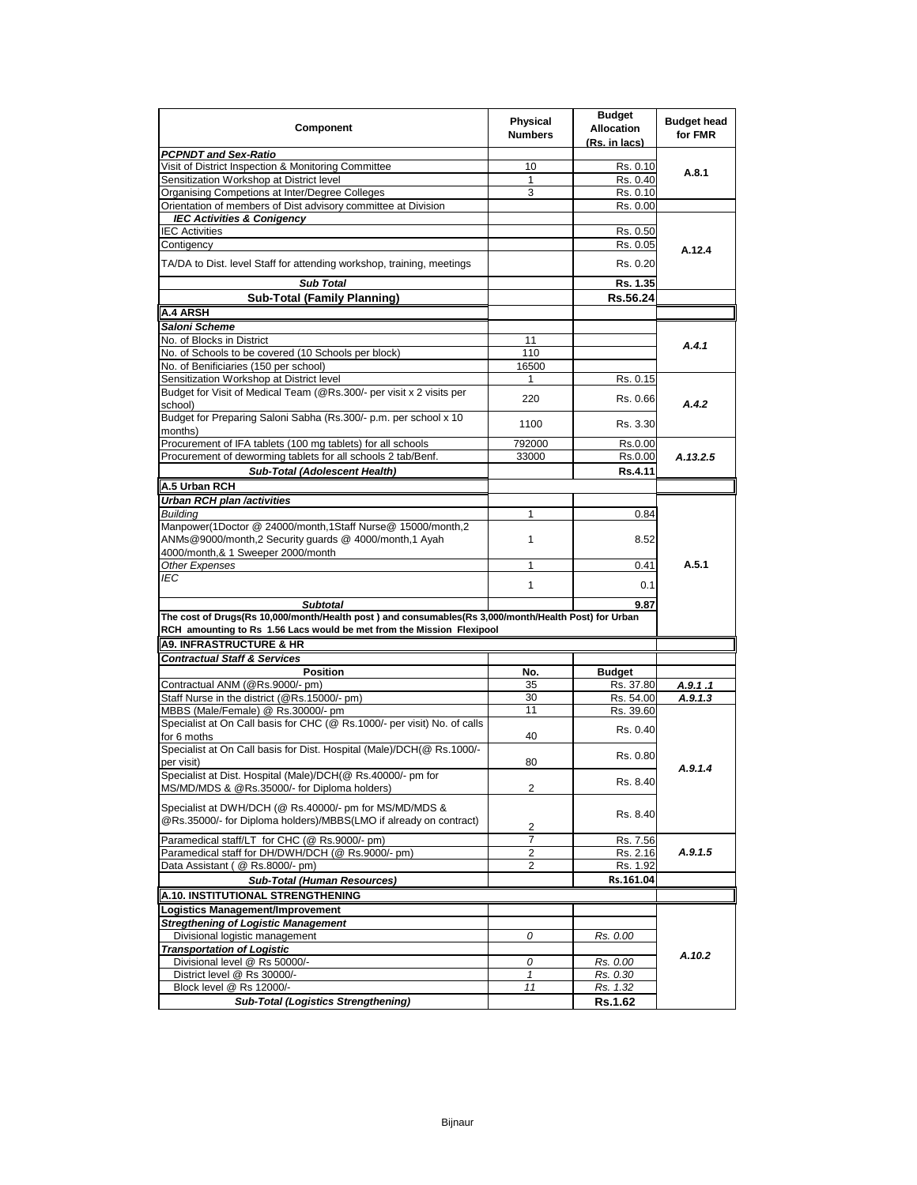| Component                                                                                                                                                                     | <b>Physical</b><br><b>Numbers</b> | <b>Budget</b><br><b>Allocation</b><br>(Rs. in lacs) | <b>Budget head</b><br>for FMR |
|-------------------------------------------------------------------------------------------------------------------------------------------------------------------------------|-----------------------------------|-----------------------------------------------------|-------------------------------|
| <b>PCPNDT and Sex-Ratio</b>                                                                                                                                                   |                                   |                                                     |                               |
| Visit of District Inspection & Monitoring Committee                                                                                                                           | 10                                | Rs. 0.10                                            | A.8.1                         |
| Sensitization Workshop at District level                                                                                                                                      | 1                                 | Rs. 0.40                                            |                               |
| Organising Competions at Inter/Degree Colleges                                                                                                                                | 3                                 | Rs. 0.10                                            |                               |
| Orientation of members of Dist advisory committee at Division                                                                                                                 |                                   | Rs. 0.00                                            |                               |
| <b>IEC Activities &amp; Conigency</b>                                                                                                                                         |                                   |                                                     |                               |
| <b>IEC Activities</b>                                                                                                                                                         |                                   | Rs. 0.50                                            |                               |
| Contigency                                                                                                                                                                    |                                   | Rs. 0.05                                            | A.12.4                        |
| TA/DA to Dist. level Staff for attending workshop, training, meetings                                                                                                         |                                   | Rs. 0.20                                            |                               |
| <b>Sub Total</b>                                                                                                                                                              |                                   | Rs. 1.35                                            |                               |
| <b>Sub-Total (Family Planning)</b>                                                                                                                                            |                                   | Rs.56.24                                            |                               |
| <b>A.4 ARSH</b>                                                                                                                                                               |                                   |                                                     |                               |
| Saloni Scheme                                                                                                                                                                 |                                   |                                                     |                               |
| No. of Blocks in District                                                                                                                                                     | 11                                |                                                     |                               |
| No. of Schools to be covered (10 Schools per block)                                                                                                                           | 110                               |                                                     | A.4.1                         |
| No. of Benificiaries (150 per school)                                                                                                                                         | 16500                             |                                                     |                               |
| Sensitization Workshop at District level                                                                                                                                      | 1                                 | Rs. 0.15                                            |                               |
| Budget for Visit of Medical Team (@Rs.300/- per visit x 2 visits per                                                                                                          |                                   |                                                     |                               |
| school)                                                                                                                                                                       | 220                               | Rs. 0.66                                            | A.4.2                         |
| Budget for Preparing Saloni Sabha (Rs.300/- p.m. per school x 10<br>months)                                                                                                   | 1100                              | Rs. 3.30                                            |                               |
| Procurement of IFA tablets (100 mg tablets) for all schools                                                                                                                   | 792000                            | Rs.0.00                                             |                               |
| Procurement of deworming tablets for all schools 2 tab/Benf.                                                                                                                  | 33000                             | Rs.0.00                                             | A.13.2.5                      |
| Sub-Total (Adolescent Health)                                                                                                                                                 |                                   | Rs.4.11                                             |                               |
| A.5 Urban RCH                                                                                                                                                                 |                                   |                                                     |                               |
|                                                                                                                                                                               |                                   |                                                     |                               |
| Urban RCH plan /activities                                                                                                                                                    | 1                                 |                                                     |                               |
| <b>Building</b><br>Manpower(1Doctor @ 24000/month,1Staff Nurse@ 15000/month,2                                                                                                 |                                   | 0.84                                                |                               |
| ANMs@9000/month,2 Security guards @ 4000/month,1 Ayah                                                                                                                         | 1                                 | 8.52                                                |                               |
| 4000/month,& 1 Sweeper 2000/month                                                                                                                                             |                                   |                                                     |                               |
| <b>Other Expenses</b>                                                                                                                                                         | $\mathbf{1}$                      | 0.41                                                | A.5.1                         |
| IEC                                                                                                                                                                           |                                   |                                                     |                               |
|                                                                                                                                                                               | $\mathbf{1}$                      | 0.1                                                 |                               |
| <b>Subtotal</b>                                                                                                                                                               |                                   | 9.87                                                |                               |
| The cost of Drugs(Rs 10,000/month/Health post) and consumables(Rs 3,000/month/Health Post) for Urban<br>RCH amounting to Rs 1.56 Lacs would be met from the Mission Flexipool |                                   |                                                     |                               |
| <b>A9. INFRASTRUCTURE &amp; HR</b>                                                                                                                                            |                                   |                                                     |                               |
| <b>Contractual Staff &amp; Services</b>                                                                                                                                       |                                   |                                                     |                               |
| <b>Position</b>                                                                                                                                                               | No.                               | <b>Budget</b>                                       |                               |
| Contractual ANM (@Rs.9000/- pm)                                                                                                                                               | 35                                | Rs. 37.80                                           | A.9.1.1                       |
| Staff Nurse in the district (@Rs.15000/- pm)                                                                                                                                  | 30                                | Rs. 54.00                                           | A.9.1.3                       |
| MBBS (Male/Female) @ Rs.30000/- pm                                                                                                                                            | 11                                | Rs. 39.60                                           |                               |
| Specialist at On Call basis for CHC (@ Rs.1000/- per visit) No. of calls                                                                                                      |                                   |                                                     |                               |
| for 6 moths                                                                                                                                                                   | 40                                | Rs. 0.40                                            |                               |
| Specialist at On Call basis for Dist. Hospital (Male)/DCH(@ Rs.1000/-                                                                                                         |                                   |                                                     |                               |
| per visit)                                                                                                                                                                    | 80                                | Rs. 0.80                                            | A.9.1.4                       |
| Specialist at Dist. Hospital (Male)/DCH(@ Rs.40000/- pm for                                                                                                                   |                                   |                                                     |                               |
| MS/MD/MDS & @Rs.35000/- for Diploma holders)                                                                                                                                  | 2                                 | Rs. 8.40                                            |                               |
|                                                                                                                                                                               |                                   |                                                     |                               |
| Specialist at DWH/DCH (@ Rs.40000/- pm for MS/MD/MDS &                                                                                                                        |                                   | Rs. 8.40                                            |                               |
| @Rs.35000/- for Diploma holders)/MBBS(LMO if already on contract)                                                                                                             | 2                                 |                                                     |                               |
| Paramedical staff/LT for CHC (@ Rs.9000/- pm)                                                                                                                                 | $\overline{7}$                    | Rs. 7.56                                            |                               |
| Paramedical staff for DH/DWH/DCH (@ Rs.9000/- pm)                                                                                                                             | 2                                 | Rs. 2.16                                            | A.9.1.5                       |
| Data Assistant ( @ Rs.8000/- pm)                                                                                                                                              | $\overline{2}$                    | Rs. 1.92                                            |                               |
| <b>Sub-Total (Human Resources)</b>                                                                                                                                            |                                   | Rs.161.04                                           |                               |
| A.10. INSTITUTIONAL STRENGTHENING                                                                                                                                             |                                   |                                                     |                               |
|                                                                                                                                                                               |                                   |                                                     |                               |
| Logistics Management/Improvement                                                                                                                                              |                                   |                                                     |                               |
| <b>Stregthening of Logistic Management</b>                                                                                                                                    |                                   |                                                     |                               |
| Divisional logistic management                                                                                                                                                | 0                                 | Rs. 0.00                                            |                               |
| <b>Transportation of Logistic</b>                                                                                                                                             |                                   |                                                     | A.10.2                        |
| Divisional level @ Rs 50000/-                                                                                                                                                 | 0                                 | Rs. 0.00                                            |                               |
| District level @ Rs 30000/-                                                                                                                                                   | $\mathbf{1}$                      | Rs. 0.30                                            |                               |
| Block level @ Rs 12000/-                                                                                                                                                      | 11                                | Rs. 1.32                                            |                               |
| <b>Sub-Total (Logistics Strengthening)</b>                                                                                                                                    |                                   | <b>Rs.1.62</b>                                      |                               |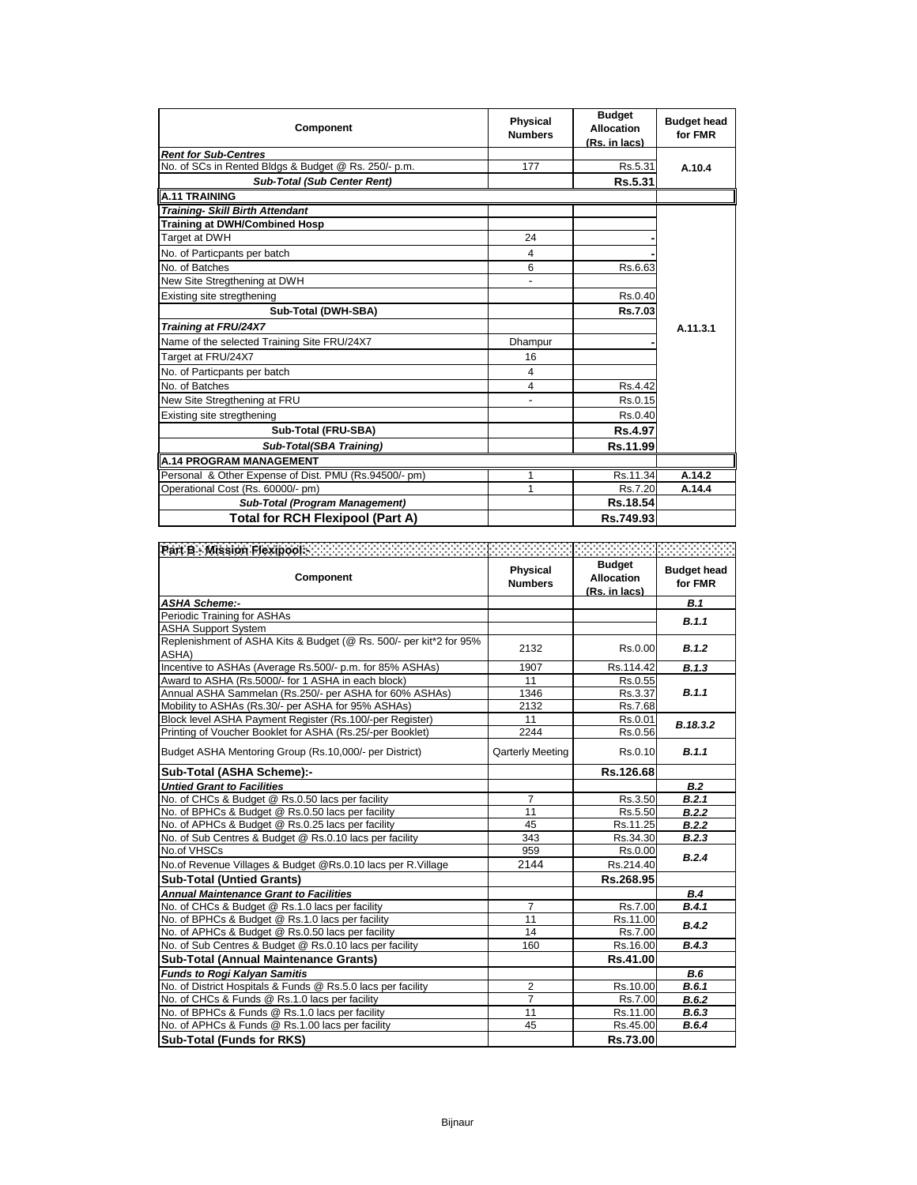| <b>Component</b>                                      | Physical<br><b>Numbers</b> | <b>Budget</b><br><b>Allocation</b><br>(Rs. in lacs) | <b>Budget head</b><br>for FMR |
|-------------------------------------------------------|----------------------------|-----------------------------------------------------|-------------------------------|
| <b>Rent for Sub-Centres</b>                           |                            |                                                     |                               |
| No. of SCs in Rented Bldgs & Budget @ Rs. 250/- p.m.  | 177                        | Rs.5.31                                             | A.10.4                        |
| <b>Sub-Total (Sub Center Rent)</b>                    |                            | Rs.5.31                                             |                               |
| <b>A.11 TRAINING</b>                                  |                            |                                                     |                               |
| <b>Training- Skill Birth Attendant</b>                |                            |                                                     |                               |
| <b>Training at DWH/Combined Hosp</b>                  |                            |                                                     |                               |
| Target at DWH                                         | 24                         |                                                     |                               |
| No. of Particpants per batch                          | 4                          |                                                     |                               |
| No. of Batches                                        | 6                          | Rs.6.63                                             |                               |
| New Site Stregthening at DWH                          | ÷,                         |                                                     |                               |
| Existing site stregthening                            |                            | Rs.0.40                                             |                               |
| Sub-Total (DWH-SBA)                                   |                            | Rs.7.03                                             |                               |
| Training at FRU/24X7                                  |                            |                                                     | A.11.3.1                      |
| Name of the selected Training Site FRU/24X7           | Dhampur                    |                                                     |                               |
| Target at FRU/24X7                                    | 16                         |                                                     |                               |
| No. of Particpants per batch                          | 4                          |                                                     |                               |
| No. of Batches                                        | 4                          | Rs.4.42                                             |                               |
| New Site Stregthening at FRU                          |                            | Rs.0.15                                             |                               |
| Existing site stregthening                            |                            | Rs.0.40                                             |                               |
| Sub-Total (FRU-SBA)                                   |                            | <b>Rs.4.97</b>                                      |                               |
| Sub-Total(SBA Training)                               |                            | Rs.11.99                                            |                               |
| <b>A.14 PROGRAM MANAGEMENT</b>                        |                            |                                                     |                               |
| Personal & Other Expense of Dist. PMU (Rs.94500/- pm) | 1                          | Rs.11.34                                            | A.14.2                        |
| Operational Cost (Rs. 60000/- pm)                     | 1                          | Rs.7.20                                             | A.14.4                        |
| Sub-Total (Program Management)                        |                            | Rs.18.54                                            |                               |
| <b>Total for RCH Flexipool (Part A)</b>               |                            | Rs.749.93                                           |                               |

| Part B - Mission Flexipools - All Accounts and Accounts<br>Component        | Physical<br><b>Numbers</b> | <b>Budget</b><br><b>Allocation</b><br>(Rs. in lacs) | <b>Budget head</b><br>for FMR |
|-----------------------------------------------------------------------------|----------------------------|-----------------------------------------------------|-------------------------------|
| <b>ASHA Scheme:-</b>                                                        |                            |                                                     | <b>B.1</b>                    |
| Periodic Training for ASHAs                                                 |                            |                                                     | B.1.1                         |
| <b>ASHA Support System</b>                                                  |                            |                                                     |                               |
| Replenishment of ASHA Kits & Budget (@ Rs. 500/- per kit*2 for 95%<br>ASHA) | 2132                       | Rs.0.00                                             | B.1.2                         |
| Incentive to ASHAs (Average Rs.500/- p.m. for 85% ASHAs)                    | 1907                       | Rs.114.42                                           | B.1.3                         |
| Award to ASHA (Rs.5000/- for 1 ASHA in each block)                          | 11                         | Rs.0.55                                             |                               |
| Annual ASHA Sammelan (Rs.250/- per ASHA for 60% ASHAs)                      | 1346                       | Rs.3.37                                             | B.1.1                         |
| Mobility to ASHAs (Rs.30/- per ASHA for 95% ASHAs)                          | 2132                       | Rs.7.68                                             |                               |
| Block level ASHA Payment Register (Rs.100/-per Register)                    | 11                         | Rs.0.01                                             | B.18.3.2                      |
| Printing of Voucher Booklet for ASHA (Rs.25/-per Booklet)                   | 2244                       | Rs.0.56                                             |                               |
| Budget ASHA Mentoring Group (Rs.10,000/- per District)                      | <b>Qarterly Meeting</b>    | Rs.0.10                                             | B.1.1                         |
| Sub-Total (ASHA Scheme):-                                                   |                            | Rs.126.68                                           |                               |
| <b>Untied Grant to Facilities</b>                                           |                            |                                                     | B.2                           |
| No. of CHCs & Budget @ Rs.0.50 lacs per facility                            | $\overline{7}$             | Rs.3.50                                             | B.2.1                         |
| No. of BPHCs & Budget @ Rs.0.50 lacs per facility                           | 11                         | Rs.5.50                                             | B.2.2                         |
| No. of APHCs & Budget @ Rs.0.25 lacs per facility                           | 45                         | Rs.11.25                                            | B.2.2                         |
| No. of Sub Centres & Budget @ Rs.0.10 lacs per facility                     | 343                        | Rs.34.30                                            | B.2.3                         |
| No.of VHSCs                                                                 | 959                        | Rs.0.00                                             | B.2.4                         |
| No.of Revenue Villages & Budget @Rs.0.10 lacs per R.Village                 | 2144                       | Rs.214.40                                           |                               |
| <b>Sub-Total (Untied Grants)</b>                                            |                            | Rs.268.95                                           |                               |
| <b>Annual Maintenance Grant to Facilities</b>                               |                            |                                                     | B.4                           |
| No. of CHCs & Budget @ Rs.1.0 lacs per facility                             | $\overline{7}$             | Rs.7.00                                             | B.4.1                         |
| No. of BPHCs & Budget @ Rs.1.0 lacs per facility                            | 11                         | Rs.11.00                                            | B.4.2                         |
| No. of APHCs & Budget @ Rs.0.50 lacs per facility                           | 14                         | Rs.7.00                                             |                               |
| No. of Sub Centres & Budget @ Rs.0.10 lacs per facility                     | 160                        | Rs.16.00                                            | B.4.3                         |
| Sub-Total (Annual Maintenance Grants)                                       |                            | Rs.41.00                                            |                               |
| <b>Funds to Rogi Kalyan Samitis</b>                                         |                            |                                                     | <b>B.6</b>                    |
| No. of District Hospitals & Funds @ Rs.5.0 lacs per facility                | $\overline{2}$             | Rs.10.00                                            | B.6.1                         |
| No. of CHCs & Funds @ Rs.1.0 lacs per facility                              | $\overline{7}$             | Rs.7.00                                             | B.6.2                         |
| No. of BPHCs & Funds @ Rs.1.0 lacs per facility                             | 11                         | Rs.11.00                                            | B.6.3                         |
| No. of APHCs & Funds @ Rs.1.00 lacs per facility                            | 45                         | Rs.45.00                                            | B.6.4                         |
| <b>Sub-Total (Funds for RKS)</b>                                            |                            | Rs.73.00                                            |                               |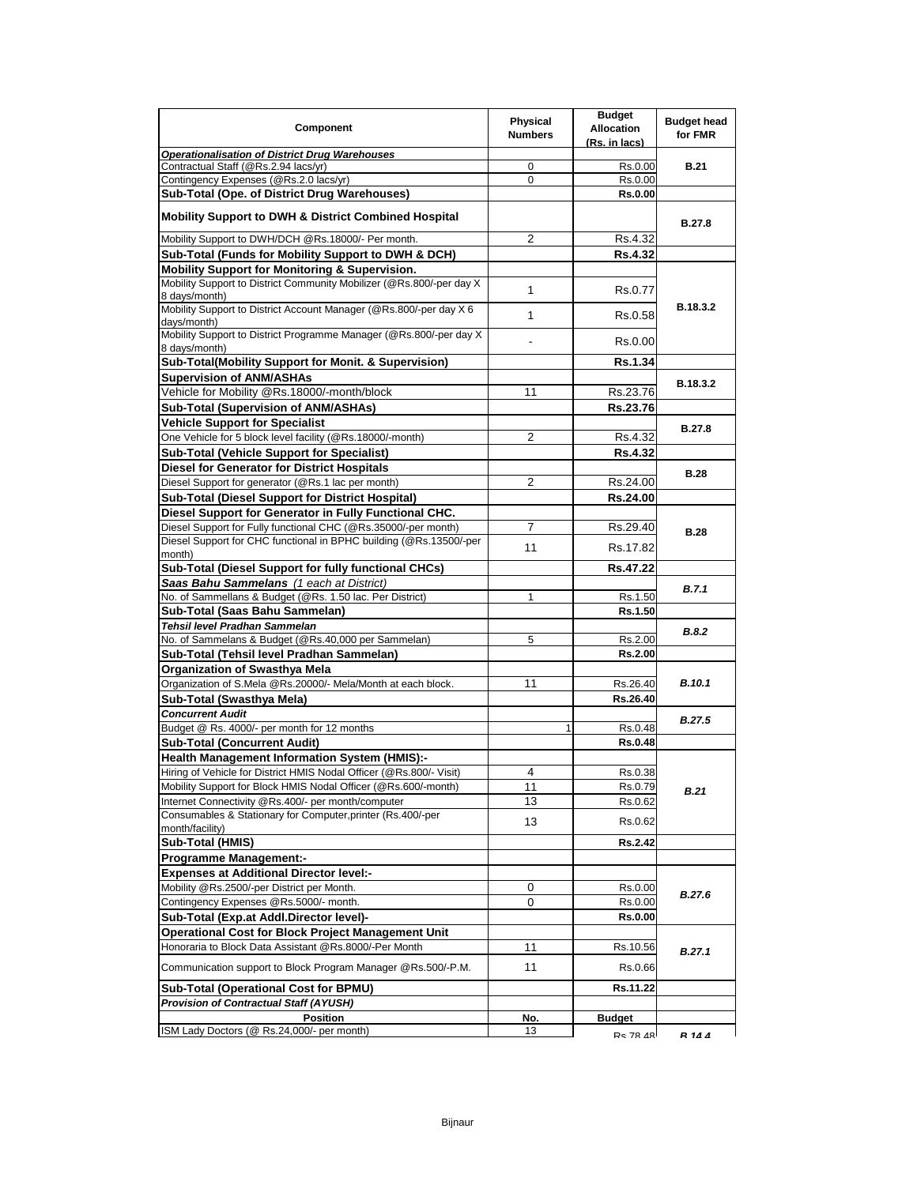| Component                                                                                                         | Physical<br><b>Numbers</b> | <b>Budget</b><br><b>Allocation</b><br>(Rs. in lacs) | <b>Budget head</b><br>for FMR |
|-------------------------------------------------------------------------------------------------------------------|----------------------------|-----------------------------------------------------|-------------------------------|
| <b>Operationalisation of District Drug Warehouses</b>                                                             |                            |                                                     |                               |
| Contractual Staff (@Rs.2.94 lacs/yr)                                                                              | 0                          | Rs.0.00                                             | <b>B.21</b>                   |
| Contingency Expenses (@Rs.2.0 lacs/yr)                                                                            | 0                          | Rs.0.00                                             |                               |
| Sub-Total (Ope. of District Drug Warehouses)                                                                      |                            | <b>Rs.0.00</b>                                      |                               |
| <b>Mobility Support to DWH &amp; District Combined Hospital</b>                                                   |                            |                                                     | B.27.8                        |
| Mobility Support to DWH/DCH @Rs.18000/- Per month.                                                                | 2                          | Rs.4.32                                             |                               |
| Sub-Total (Funds for Mobility Support to DWH & DCH)                                                               |                            | <b>Rs.4.32</b>                                      |                               |
| Mobility Support for Monitoring & Supervision.                                                                    |                            |                                                     |                               |
| Mobility Support to District Community Mobilizer (@Rs.800/-per day X<br>8 days/month)                             | 1                          | Rs.0.77                                             |                               |
| Mobility Support to District Account Manager (@Rs.800/-per day X 6<br>days/month)                                 | 1                          | Rs.0.58                                             | B.18.3.2                      |
| Mobility Support to District Programme Manager (@Rs.800/-per day X<br>8 days/month)                               |                            | Rs.0.00                                             |                               |
| Sub-Total(Mobility Support for Monit. & Supervision)                                                              |                            | Rs.1.34                                             |                               |
| <b>Supervision of ANM/ASHAs</b>                                                                                   |                            |                                                     | B.18.3.2                      |
| Vehicle for Mobility @Rs.18000/-month/block                                                                       | 11                         | Rs.23.76                                            |                               |
| Sub-Total (Supervision of ANM/ASHAs)                                                                              |                            | Rs.23.76                                            |                               |
| <b>Vehicle Support for Specialist</b>                                                                             |                            |                                                     | <b>B.27.8</b>                 |
| One Vehicle for 5 block level facility (@Rs.18000/-month)                                                         | 2                          | Rs.4.32                                             |                               |
| <b>Sub-Total (Vehicle Support for Specialist)</b>                                                                 |                            | <b>Rs.4.32</b>                                      |                               |
| <b>Diesel for Generator for District Hospitals</b>                                                                |                            |                                                     | <b>B.28</b>                   |
| Diesel Support for generator (@Rs.1 lac per month)                                                                | 2                          | Rs.24.00                                            |                               |
| Sub-Total (Diesel Support for District Hospital)                                                                  |                            | Rs.24.00                                            |                               |
| Diesel Support for Generator in Fully Functional CHC.                                                             |                            |                                                     |                               |
| Diesel Support for Fully functional CHC (@Rs.35000/-per month)                                                    | 7                          | Rs.29.40                                            | <b>B.28</b>                   |
| Diesel Support for CHC functional in BPHC building (@Rs.13500/-per<br>month)                                      | 11                         | Rs.17.82                                            |                               |
| Sub-Total (Diesel Support for fully functional CHCs)                                                              |                            | Rs.47.22                                            |                               |
| Saas Bahu Sammelans (1 each at District)                                                                          |                            |                                                     | B.7.1                         |
| No. of Sammellans & Budget (@Rs. 1.50 lac. Per District)                                                          | 1                          | Rs.1.50                                             |                               |
| Sub-Total (Saas Bahu Sammelan)                                                                                    |                            | Rs.1.50                                             |                               |
| Tehsil level Pradhan Sammelan                                                                                     |                            |                                                     | B.8.2                         |
| No. of Sammelans & Budget (@Rs.40,000 per Sammelan)                                                               | 5                          | Rs.2.00                                             |                               |
| Sub-Total (Tehsil level Pradhan Sammelan)                                                                         |                            | Rs.2.00                                             |                               |
| Organization of Swasthya Mela                                                                                     |                            |                                                     |                               |
| Organization of S.Mela @Rs.20000/- Mela/Month at each block.                                                      | 11                         | Rs.26.40                                            | <b>B.10.1</b>                 |
| Sub-Total (Swasthya Mela)                                                                                         |                            | Rs.26.40                                            |                               |
| <b>Concurrent Audit</b>                                                                                           |                            |                                                     | <b>B.27.5</b>                 |
| Budget @ Rs. 4000/- per month for 12 months                                                                       |                            | Rs.0.48                                             |                               |
| <b>Sub-Total (Concurrent Audit)</b>                                                                               |                            | <b>Rs.0.48</b>                                      |                               |
| <b>Health Management Information System (HMIS):-</b>                                                              |                            |                                                     |                               |
| Hiring of Vehicle for District HMIS Nodal Officer (@Rs.800/- Visit)                                               | 4                          | Rs.0.38                                             |                               |
| Mobility Support for Block HMIS Nodal Officer (@Rs.600/-month)                                                    | 11                         | Rs.0.79                                             | <b>B.21</b>                   |
| Internet Connectivity @Rs.400/- per month/computer<br>Consumables & Stationary for Computer, printer (Rs.400/-per | 13<br>13                   | Rs.0.62<br>Rs.0.62                                  |                               |
| month/facility)                                                                                                   |                            |                                                     |                               |
| Sub-Total (HMIS)                                                                                                  |                            | Rs.2.42                                             |                               |
| <b>Programme Management:-</b>                                                                                     |                            |                                                     |                               |
| <b>Expenses at Additional Director level:-</b>                                                                    |                            |                                                     |                               |
| Mobility @Rs.2500/-per District per Month.                                                                        | 0                          | Rs.0.00                                             | <b>B.27.6</b>                 |
| Contingency Expenses @Rs.5000/- month.                                                                            | 0                          | Rs.0.00                                             |                               |
| Sub-Total (Exp.at Addl.Director level)-                                                                           |                            | <b>Rs.0.00</b>                                      |                               |
| Operational Cost for Block Project Management Unit                                                                |                            |                                                     |                               |
| Honoraria to Block Data Assistant @Rs.8000/-Per Month                                                             | 11                         | Rs.10.56                                            | B.27.1                        |
| Communication support to Block Program Manager @Rs.500/-P.M.                                                      | 11                         | Rs.0.66                                             |                               |
| Sub-Total (Operational Cost for BPMU)                                                                             |                            | Rs.11.22                                            |                               |
| <b>Provision of Contractual Staff (AYUSH)</b>                                                                     |                            |                                                     |                               |
| <b>Position</b>                                                                                                   | No.                        | <b>Budget</b>                                       |                               |
| ISM Lady Doctors (@ Rs.24,000/- per month)                                                                        | 13                         | <b>Rc 78 48</b>                                     | <b>R</b> 14 A                 |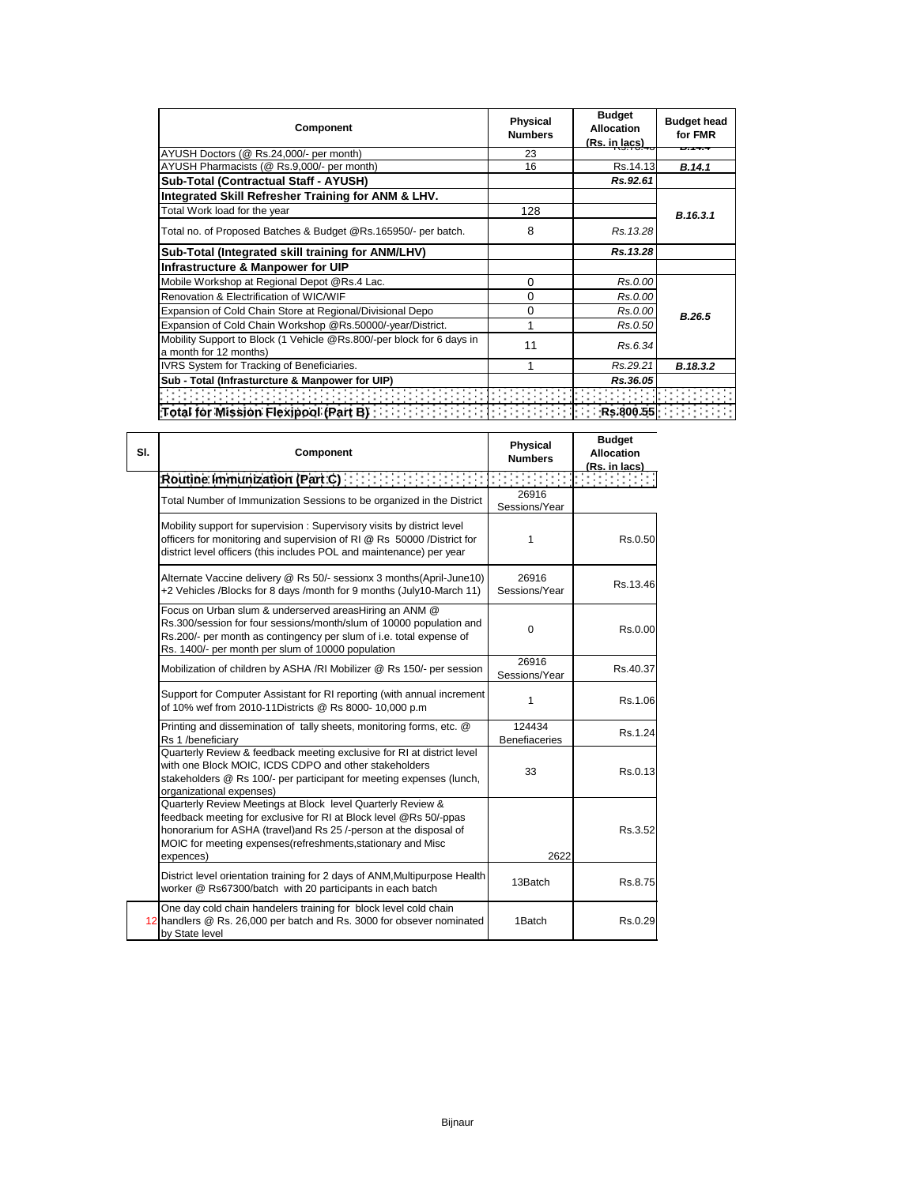| Component                                                                                                                                                                                                                                                                                     | <b>Physical</b><br><b>Numbers</b> | <b>Budget</b><br><b>Allocation</b><br>(Rs. in lacs) | <b>Budget head</b><br>for FMR |
|-----------------------------------------------------------------------------------------------------------------------------------------------------------------------------------------------------------------------------------------------------------------------------------------------|-----------------------------------|-----------------------------------------------------|-------------------------------|
| AYUSH Doctors (@ Rs.24,000/- per month)                                                                                                                                                                                                                                                       | 23                                |                                                     | D. 17.7                       |
| AYUSH Pharmacists (@ Rs.9,000/- per month)                                                                                                                                                                                                                                                    | 16                                | Rs.14.13                                            | B.14.1                        |
| Sub-Total (Contractual Staff - AYUSH)                                                                                                                                                                                                                                                         |                                   | Rs.92.61                                            |                               |
| Integrated Skill Refresher Training for ANM & LHV.                                                                                                                                                                                                                                            |                                   |                                                     |                               |
| Total Work load for the year                                                                                                                                                                                                                                                                  | 128                               |                                                     | B.16.3.1                      |
| Total no. of Proposed Batches & Budget @Rs.165950/- per batch.                                                                                                                                                                                                                                | 8                                 | Rs.13.28                                            |                               |
| Sub-Total (Integrated skill training for ANM/LHV)                                                                                                                                                                                                                                             |                                   | Rs.13.28                                            |                               |
| Infrastructure & Manpower for UIP                                                                                                                                                                                                                                                             |                                   |                                                     |                               |
| Mobile Workshop at Regional Depot @Rs.4 Lac.                                                                                                                                                                                                                                                  | $\Omega$                          | Rs.0.00                                             |                               |
| Renovation & Electrification of WIC/WIE                                                                                                                                                                                                                                                       | 0                                 | Rs.0.00                                             |                               |
| Expansion of Cold Chain Store at Regional/Divisional Depo                                                                                                                                                                                                                                     | 0                                 | Rs.0.00                                             | B.26.5                        |
| Expansion of Cold Chain Workshop @Rs.50000/-year/District.                                                                                                                                                                                                                                    | 1                                 | Rs.0.50                                             |                               |
| Mobility Support to Block (1 Vehicle @Rs.800/-per block for 6 days in<br>a month for 12 months)                                                                                                                                                                                               | 11                                | Rs.6.34                                             |                               |
| IVRS System for Tracking of Beneficiaries.                                                                                                                                                                                                                                                    |                                   | Rs.29.21                                            | B.18.3.2                      |
| Sub - Total (Infrasturcture & Manpower for UIP)                                                                                                                                                                                                                                               |                                   | Rs.36.05                                            |                               |
|                                                                                                                                                                                                                                                                                               |                                   |                                                     |                               |
| Total for Mission Flexipool (Part B) $\frac{1}{2}$ , $\frac{1}{2}$ , $\frac{1}{2}$ , $\frac{1}{2}$ , $\frac{1}{2}$ , $\frac{1}{2}$ , $\frac{1}{2}$ , $\frac{1}{2}$ , $\frac{1}{2}$ , $\frac{1}{2}$ , $\frac{1}{2}$ , $\frac{1}{2}$ , $\frac{1}{2}$ , $\frac{1}{2}$ , $\frac{1}{2}$ , $\frac{$ |                                   |                                                     |                               |

| SI. | Component                                                                                                                                                                                                                                                                          | <b>Physical</b><br><b>Numbers</b> | <b>Budget</b><br><b>Allocation</b><br>(Rs. in lacs) |
|-----|------------------------------------------------------------------------------------------------------------------------------------------------------------------------------------------------------------------------------------------------------------------------------------|-----------------------------------|-----------------------------------------------------|
|     | Routine Immunization (Part C) [11]                                                                                                                                                                                                                                                 |                                   |                                                     |
|     | Total Number of Immunization Sessions to be organized in the District                                                                                                                                                                                                              | 26916<br>Sessions/Year            |                                                     |
|     | Mobility support for supervision: Supervisory visits by district level<br>officers for monitoring and supervision of RI @ Rs 50000 /District for<br>district level officers (this includes POL and maintenance) per year                                                           | 1                                 | Rs.0.50                                             |
|     | Alternate Vaccine delivery @ Rs 50/- sessionx 3 months(April-June10)<br>+2 Vehicles /Blocks for 8 days /month for 9 months (July10-March 11)                                                                                                                                       | 26916<br>Sessions/Year            | Rs.13.46                                            |
|     | Focus on Urban slum & underserved areasHiring an ANM @<br>Rs.300/session for four sessions/month/slum of 10000 population and<br>Rs.200/- per month as contingency per slum of i.e. total expense of<br>Rs. 1400/- per month per slum of 10000 population                          | 0                                 | Rs.0.00                                             |
|     | Mobilization of children by ASHA /RI Mobilizer @ Rs 150/- per session                                                                                                                                                                                                              | 26916<br>Sessions/Year            | Rs.40.37                                            |
|     | Support for Computer Assistant for RI reporting (with annual increment<br>of 10% wef from 2010-11Districts @ Rs 8000- 10,000 p.m                                                                                                                                                   | 1                                 | Rs.1.06                                             |
|     | Printing and dissemination of tally sheets, monitoring forms, etc. @<br>Rs 1 /beneficiary                                                                                                                                                                                          | 124434<br><b>Benefiaceries</b>    | Rs.1.24                                             |
|     | Quarterly Review & feedback meeting exclusive for RI at district level<br>with one Block MOIC, ICDS CDPO and other stakeholders<br>stakeholders @ Rs 100/- per participant for meeting expenses (lunch,<br>organizational expenses)                                                | 33                                | Rs.0.13                                             |
|     | Quarterly Review Meetings at Block level Quarterly Review &<br>feedback meeting for exclusive for RI at Block level @Rs 50/-ppas<br>honorarium for ASHA (travel)and Rs 25 /-person at the disposal of<br>MOIC for meeting expenses (refreshments, stationary and Misc<br>expences) | 2622                              | Rs.3.52                                             |
|     | District level orientation training for 2 days of ANM, Multipurpose Health<br>worker @ Rs67300/batch with 20 participants in each batch                                                                                                                                            | 13Batch                           | Rs.8.75                                             |
|     | One day cold chain handelers training for block level cold chain<br>12 handlers @ Rs. 26,000 per batch and Rs. 3000 for obsever nominated<br>by State level                                                                                                                        | 1Batch                            | Rs.0.29                                             |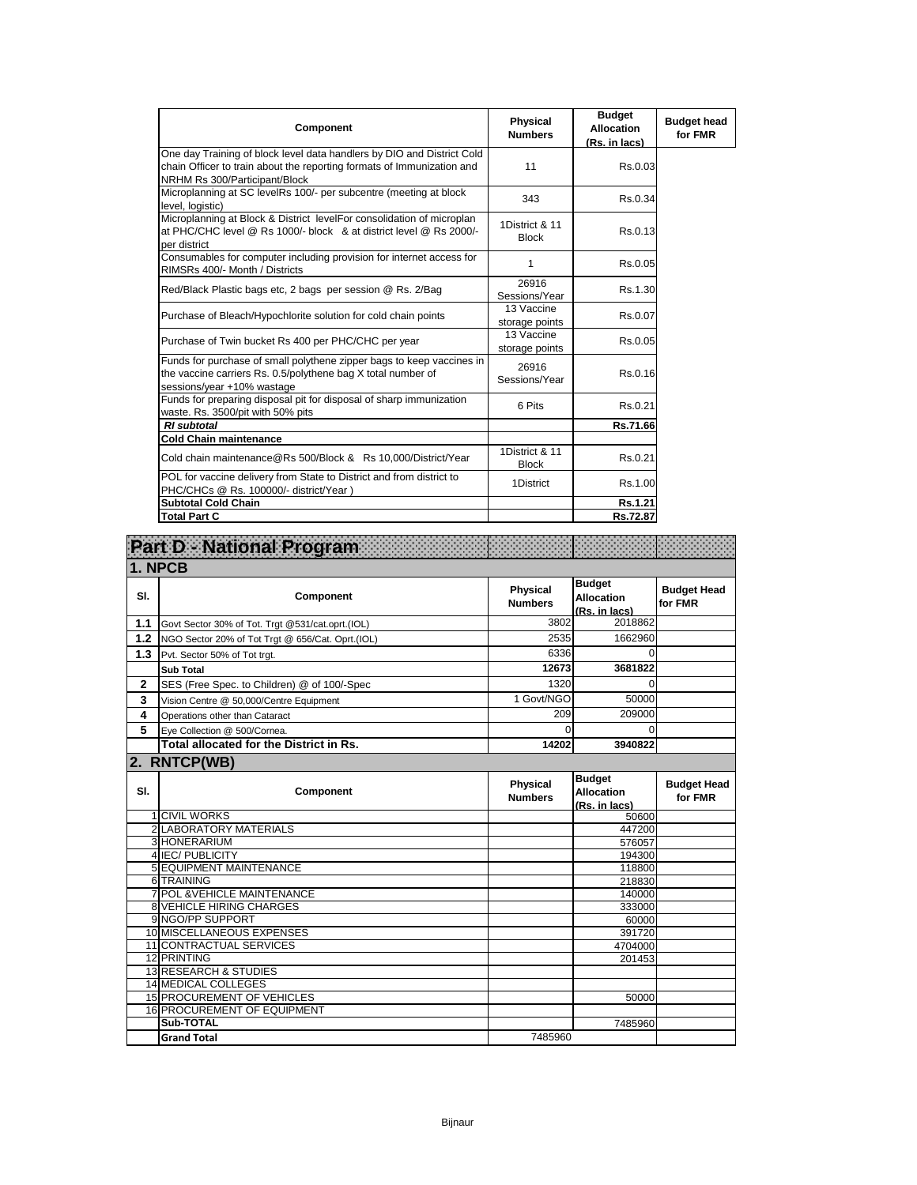| Component                                                                                                                                                                         | <b>Physical</b><br><b>Numbers</b> | <b>Budget</b><br><b>Allocation</b><br>(Rs. in lacs) | <b>Budget head</b><br>for FMR |
|-----------------------------------------------------------------------------------------------------------------------------------------------------------------------------------|-----------------------------------|-----------------------------------------------------|-------------------------------|
| One day Training of block level data handlers by DIO and District Cold<br>chain Officer to train about the reporting formats of Immunization and<br>NRHM Rs 300/Participant/Block | 11                                | Rs.0.03                                             |                               |
| Microplanning at SC levelRs 100/- per subcentre (meeting at block<br>level, logistic)                                                                                             | 343                               | Rs.0.34                                             |                               |
| Microplanning at Block & District levelFor consolidation of microplan<br>at PHC/CHC level @ Rs 1000/- block & at district level @ Rs 2000/-<br>per district                       | 1District & 11<br><b>Block</b>    | Rs.0.13                                             |                               |
| Consumables for computer including provision for internet access for<br>RIMSRs 400/- Month / Districts                                                                            | 1                                 | Rs.0.05                                             |                               |
| Red/Black Plastic bags etc, 2 bags per session @ Rs. 2/Bag                                                                                                                        | 26916<br>Sessions/Year            | Rs.1.30                                             |                               |
| Purchase of Bleach/Hypochlorite solution for cold chain points                                                                                                                    | 13 Vaccine<br>storage points      | Rs.0.07                                             |                               |
| Purchase of Twin bucket Rs 400 per PHC/CHC per year                                                                                                                               | 13 Vaccine<br>storage points      | Rs.0.05                                             |                               |
| Funds for purchase of small polythene zipper bags to keep vaccines in<br>the vaccine carriers Rs. 0.5/polythene bag X total number of<br>sessions/year +10% wastage               | 26916<br>Sessions/Year            | Rs.0.16                                             |                               |
| Funds for preparing disposal pit for disposal of sharp immunization<br>waste. Rs. 3500/pit with 50% pits                                                                          | 6 Pits                            | Rs.0.21                                             |                               |
| <b>RI</b> subtotal                                                                                                                                                                |                                   | Rs.71.66                                            |                               |
| <b>Cold Chain maintenance</b>                                                                                                                                                     |                                   |                                                     |                               |
| Cold chain maintenance@Rs 500/Block & Rs 10,000/District/Year                                                                                                                     | 1District & 11<br><b>Block</b>    | Rs.0.21                                             |                               |
| POL for vaccine delivery from State to District and from district to<br>PHC/CHCs @ Rs. 100000/- district/Year )                                                                   | 1District                         | Rs.1.00                                             |                               |
| <b>Subtotal Cold Chain</b>                                                                                                                                                        |                                   | Rs.1.21                                             |                               |
| <b>Total Part C</b>                                                                                                                                                               |                                   | Rs.72.87                                            |                               |

|              | Part D - National Program                               |                                   |                                                     |                               |
|--------------|---------------------------------------------------------|-----------------------------------|-----------------------------------------------------|-------------------------------|
|              | 1. NPCB                                                 |                                   |                                                     |                               |
| SI.          | Component                                               | <b>Physical</b><br><b>Numbers</b> | <b>Budget</b><br><b>Allocation</b><br>(Rs. in lacs) | <b>Budget Head</b><br>for FMR |
| 1.1          | Govt Sector 30% of Tot. Trgt @531/cat.oprt.(IOL)        | 3802                              | 2018862                                             |                               |
| 1.2          | NGO Sector 20% of Tot Trgt @ 656/Cat. Oprt.(IOL)        | 2535                              | 1662960                                             |                               |
| 1.3          | Pvt. Sector 50% of Tot trgt.                            | 6336                              | $\Omega$                                            |                               |
|              | <b>Sub Total</b>                                        | 12673                             | 3681822                                             |                               |
| $\mathbf{2}$ | SES (Free Spec. to Children) @ of 100/-Spec             | 1320                              | 0                                                   |                               |
| 3            | Vision Centre @ 50,000/Centre Equipment                 | 1 Govt/NGO                        | 50000                                               |                               |
| 4            | Operations other than Cataract                          | 209                               | 209000                                              |                               |
| 5            | Eye Collection @ 500/Cornea.                            | $\Omega$                          | $\Omega$                                            |                               |
|              | Total allocated for the District in Rs.                 | 14202                             | 3940822                                             |                               |
|              | 2. RNTCP(WB)                                            |                                   |                                                     |                               |
| SI.          | Component                                               | <b>Physical</b>                   | <b>Budget</b><br><b>Allocation</b>                  | <b>Budget Head</b>            |
|              |                                                         | <b>Numbers</b>                    | (Rs. in lacs)                                       | for FMR                       |
|              | <b>1 CIVIL WORKS</b>                                    |                                   | 50600                                               |                               |
|              | 2 LABORATORY MATERIALS                                  |                                   | 447200                                              |                               |
|              | 3 HONERARIUM                                            |                                   | 576057                                              |                               |
|              | 4 IEC/ PUBLICITY                                        |                                   | 194300                                              |                               |
|              | 5 EQUIPMENT MAINTENANCE                                 |                                   | 118800                                              |                               |
|              | 6 TRAINING                                              |                                   | 218830<br>140000                                    |                               |
|              | 7 POL & VEHICLE MAINTENANCE<br>8 VEHICLE HIRING CHARGES |                                   | 333000                                              |                               |
|              | 9 NGO/PP SUPPORT                                        |                                   | 60000                                               |                               |
|              | 10 MISCELLANEOUS EXPENSES                               |                                   | 391720                                              |                               |
|              | <b>11 CONTRACTUAL SERVICES</b>                          |                                   | 4704000                                             |                               |
|              | 12 PRINTING                                             |                                   | 201453                                              |                               |
|              | <b>13 RESEARCH &amp; STUDIES</b>                        |                                   |                                                     |                               |
|              | <b>14 MEDICAL COLLEGES</b>                              |                                   |                                                     |                               |
|              | <b>15 PROCUREMENT OF VEHICLES</b>                       |                                   | 50000                                               |                               |
|              | <b>16 PROCUREMENT OF EQUIPMENT</b><br>Sub-TOTAL         |                                   | 7485960                                             |                               |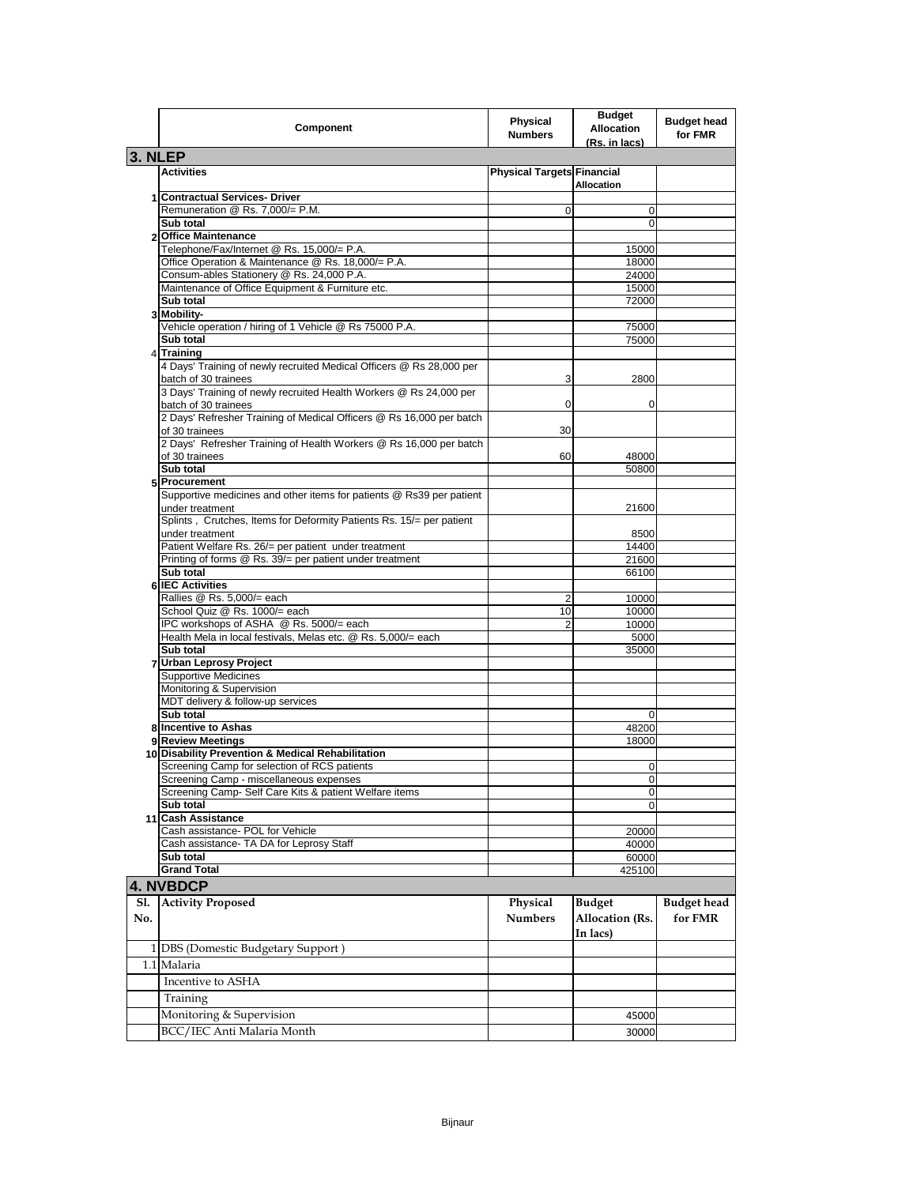|            | Component                                                                                                | Physical<br><b>Numbers</b>        | <b>Budget</b><br><b>Allocation</b><br>(Rs. in lacs) | <b>Budget head</b><br>for FMR |
|------------|----------------------------------------------------------------------------------------------------------|-----------------------------------|-----------------------------------------------------|-------------------------------|
| 3. NLEP    |                                                                                                          |                                   |                                                     |                               |
|            | <b>Activities</b>                                                                                        | <b>Physical Targets Financial</b> |                                                     |                               |
|            |                                                                                                          |                                   | <b>Allocation</b>                                   |                               |
|            | 1 Contractual Services- Driver                                                                           |                                   |                                                     |                               |
|            | Remuneration @ Rs. 7,000/= P.M.                                                                          | 0                                 | 0                                                   |                               |
|            | Sub total                                                                                                |                                   | 0                                                   |                               |
|            | 2 Office Maintenance                                                                                     |                                   |                                                     |                               |
|            | Telephone/Fax/Internet @ Rs. 15,000/= P.A.                                                               |                                   | 15000                                               |                               |
|            | Office Operation & Maintenance @ Rs. 18,000/= P.A.                                                       |                                   | 18000                                               |                               |
|            | Consum-ables Stationery @ Rs. 24,000 P.A.<br>Maintenance of Office Equipment & Furniture etc.            |                                   | 24000                                               |                               |
|            | Sub total                                                                                                |                                   | 15000<br>72000                                      |                               |
|            | 3 Mobility-                                                                                              |                                   |                                                     |                               |
|            | Vehicle operation / hiring of 1 Vehicle @ Rs 75000 P.A.                                                  |                                   | 75000                                               |                               |
|            | Sub total                                                                                                |                                   | 75000                                               |                               |
|            | 4 Training                                                                                               |                                   |                                                     |                               |
|            | 4 Days' Training of newly recruited Medical Officers @ Rs 28,000 per<br>batch of 30 trainees             | 3                                 | 2800                                                |                               |
|            | 3 Days' Training of newly recruited Health Workers @ Rs 24,000 per<br>batch of 30 trainees               | 0                                 | 0                                                   |                               |
|            | 2 Days' Refresher Training of Medical Officers @ Rs 16,000 per batch<br>of 30 trainees                   | 30                                |                                                     |                               |
|            | 2 Days' Refresher Training of Health Workers @ Rs 16,000 per batch<br>of 30 trainees                     | 60                                | 48000                                               |                               |
|            | Sub total                                                                                                |                                   | 50800                                               |                               |
|            | 5 Procurement                                                                                            |                                   |                                                     |                               |
|            | Supportive medicines and other items for patients @ Rs39 per patient<br>under treatment                  |                                   | 21600                                               |                               |
|            | Splints, Crutches, Items for Deformity Patients Rs. 15/= per patient<br>under treatment                  |                                   | 8500                                                |                               |
|            | Patient Welfare Rs. 26/= per patient under treatment                                                     |                                   | 14400                                               |                               |
|            | Printing of forms @ Rs. 39/= per patient under treatment                                                 |                                   | 21600                                               |                               |
|            | Sub total                                                                                                |                                   | 66100                                               |                               |
|            | 6 IEC Activities                                                                                         |                                   |                                                     |                               |
|            | Rallies @ Rs. 5,000/= each                                                                               | 2                                 | 10000                                               |                               |
|            | School Quiz @ Rs. 1000/= each                                                                            | 10                                | 10000                                               |                               |
|            | IPC workshops of ASHA @ Rs. 5000/= each<br>Health Mela in local festivals, Melas etc. @ Rs. 5,000/= each | $\overline{2}$                    | 10000                                               |                               |
|            | Sub total                                                                                                |                                   | 5000<br>35000                                       |                               |
|            | 7 Urban Leprosy Project                                                                                  |                                   |                                                     |                               |
|            | <b>Supportive Medicines</b>                                                                              |                                   |                                                     |                               |
|            | Monitoring & Supervision                                                                                 |                                   |                                                     |                               |
|            | MDT delivery & follow-up services                                                                        |                                   |                                                     |                               |
|            | Sub total                                                                                                |                                   | 0                                                   |                               |
|            | 8 Incentive to Ashas                                                                                     |                                   | 48200                                               |                               |
|            | 9 Review Meetings                                                                                        |                                   | 18000                                               |                               |
|            | 10 Disability Prevention & Medical Rehabilitation                                                        |                                   |                                                     |                               |
|            | Screening Camp for selection of RCS patients                                                             |                                   | 0                                                   |                               |
|            | Screening Camp - miscellaneous expenses                                                                  |                                   | υ                                                   |                               |
|            | Screening Camp- Self Care Kits & patient Welfare items                                                   |                                   | 0                                                   |                               |
|            | Sub total                                                                                                |                                   | 0                                                   |                               |
|            | 11 Cash Assistance                                                                                       |                                   |                                                     |                               |
|            | Cash assistance- POL for Vehicle                                                                         |                                   | 20000                                               |                               |
|            | Cash assistance- TA DA for Leprosy Staff                                                                 |                                   | 40000                                               |                               |
|            | Sub total<br><b>Grand Total</b>                                                                          |                                   | 60000<br>425100                                     |                               |
|            |                                                                                                          |                                   |                                                     |                               |
|            | 4. NVBDCP                                                                                                |                                   |                                                     |                               |
| Sl.<br>No. | <b>Activity Proposed</b>                                                                                 | Physical<br><b>Numbers</b>        | <b>Budget</b><br><b>Allocation</b> (Rs.<br>In lacs) | <b>Budget</b> head<br>for FMR |
|            | 1 DBS (Domestic Budgetary Support)                                                                       |                                   |                                                     |                               |
|            | 1.1 Malaria                                                                                              |                                   |                                                     |                               |
|            |                                                                                                          |                                   |                                                     |                               |
|            | Incentive to ASHA                                                                                        |                                   |                                                     |                               |
|            | Training                                                                                                 |                                   |                                                     |                               |
|            | Monitoring & Supervision                                                                                 |                                   | 45000                                               |                               |
|            | BCC/IEC Anti Malaria Month                                                                               |                                   | 30000                                               |                               |